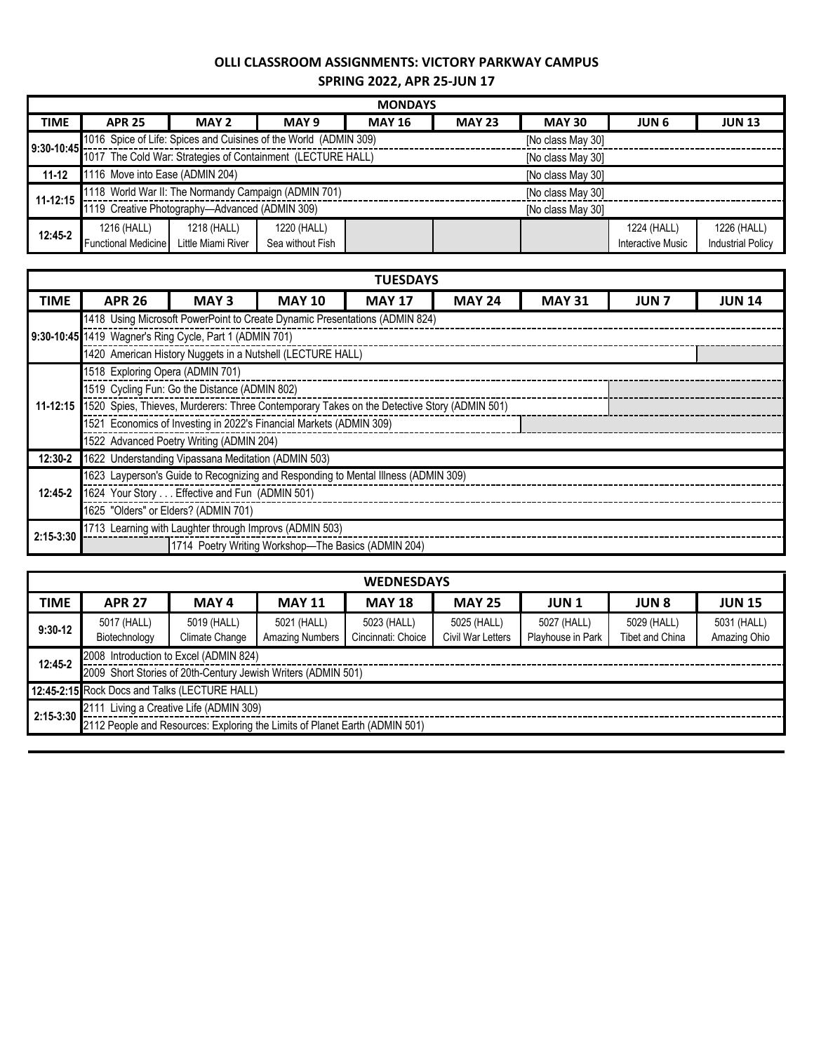## **OLLI CLASSROOM ASSIGNMENTS: VICTORY PARKWAY CAMPUS**

**SPRING 2022, APR 25-JUN 17**

| <b>MONDAYS</b> |                                                                           |                    |                   |                   |               |               |                   |                          |  |  |  |
|----------------|---------------------------------------------------------------------------|--------------------|-------------------|-------------------|---------------|---------------|-------------------|--------------------------|--|--|--|
| <b>TIME</b>    | <b>APR 25</b>                                                             | MAY 2              | MAY 9             | <b>MAY 16</b>     | <b>MAY 23</b> | <b>MAY 30</b> | <b>JUN 6</b>      | <b>JUN 13</b>            |  |  |  |
|                | 1016 Spice of Life: Spices and Cuisines of the World (ADMIN 309)          |                    | [No class May 30] |                   |               |               |                   |                          |  |  |  |
|                | 9:30-10:45<br>1017 The Cold War: Strategies of Containment (LECTURE HALL) |                    |                   | [No class May 30] |               |               |                   |                          |  |  |  |
| $11 - 12$      | 1116 Move into Ease (ADMIN 204)<br>[No class May 30]                      |                    |                   |                   |               |               |                   |                          |  |  |  |
| 11-12:15       | 1118 World War II: The Normandy Campaign (ADMIN 701)                      |                    |                   | [No class May 30] |               |               |                   |                          |  |  |  |
|                | 1119 Creative Photography—Advanced (ADMIN 309)                            |                    |                   | [No class May 30] |               |               |                   |                          |  |  |  |
| 12:45-2        | 1216 (HALL)                                                               | 1218 (HALL)        | 1220 (HALL)       |                   |               |               | 1224 (HALL)       | 1226 (HALL)              |  |  |  |
|                | <b>Functional Medicine</b>                                                | Little Miami River | Sea without Fish  |                   |               |               | Interactive Music | <b>Industrial Policy</b> |  |  |  |

| <b>TUESDAYS</b> |                                                         |                                                                                                      |               |               |               |               |             |               |  |  |  |
|-----------------|---------------------------------------------------------|------------------------------------------------------------------------------------------------------|---------------|---------------|---------------|---------------|-------------|---------------|--|--|--|
| <b>TIME</b>     | <b>APR 26</b>                                           | MAY <sub>3</sub>                                                                                     | <b>MAY 10</b> | <b>MAY 17</b> | <b>MAY 24</b> | <b>MAY 31</b> | <b>JUN7</b> | <b>JUN 14</b> |  |  |  |
|                 |                                                         | 1418 Using Microsoft PowerPoint to Create Dynamic Presentations (ADMIN 824)                          |               |               |               |               |             |               |  |  |  |
|                 | 9:30-10:45 1419 Wagner's Ring Cycle, Part 1 (ADMIN 701) |                                                                                                      |               |               |               |               |             |               |  |  |  |
|                 |                                                         | 1420 American History Nuggets in a Nutshell (LECTURE HALL)                                           |               |               |               |               |             |               |  |  |  |
|                 | 1518 Exploring Opera (ADMIN 701)                        |                                                                                                      |               |               |               |               |             |               |  |  |  |
|                 | 1519 Cycling Fun: Go the Distance (ADMIN 802)           |                                                                                                      |               |               |               |               |             |               |  |  |  |
|                 |                                                         | 11-12:15 1520 Spies, Thieves, Murderers: Three Contemporary Takes on the Detective Story (ADMIN 501) |               |               |               |               |             |               |  |  |  |
|                 |                                                         | 1521 Economics of Investing in 2022's Financial Markets (ADMIN 309)                                  |               |               |               |               |             |               |  |  |  |
|                 | 1522 Advanced Poetry Writing (ADMIN 204)                |                                                                                                      |               |               |               |               |             |               |  |  |  |
| 12:30-2         |                                                         | 1622 Understanding Vipassana Meditation (ADMIN 503)                                                  |               |               |               |               |             |               |  |  |  |
|                 |                                                         | 1623 Layperson's Guide to Recognizing and Responding to Mental Illness (ADMIN 309)                   |               |               |               |               |             |               |  |  |  |
| 12:45-2         | 1624 Your Story Effective and Fun (ADMIN 501)           |                                                                                                      |               |               |               |               |             |               |  |  |  |
|                 |                                                         | 1625 "Olders" or Elders? (ADMIN 701)                                                                 |               |               |               |               |             |               |  |  |  |
| 2:15-3:30       |                                                         | 1713 Learning with Laughter through Improvs (ADMIN 503)                                              |               |               |               |               |             |               |  |  |  |
|                 |                                                         | 1714 Poetry Writing Workshop-The Basics (ADMIN 204)                                                  |               |               |               |               |             |               |  |  |  |

| <b>WEDNESDAYS</b>                             |                                                                                                                                                              |                               |                                |                                   |                                  |                                  |                                       |                             |  |  |
|-----------------------------------------------|--------------------------------------------------------------------------------------------------------------------------------------------------------------|-------------------------------|--------------------------------|-----------------------------------|----------------------------------|----------------------------------|---------------------------------------|-----------------------------|--|--|
| <b>TIME</b>                                   | <b>APR 27</b>                                                                                                                                                | MAY 4                         | <b>MAY 11</b>                  | <b>MAY 18</b>                     | <b>MAY 25</b>                    | <b>JUN1</b>                      | <b>JUN 8</b>                          | <b>JUN 15</b>               |  |  |
| $9:30-12$                                     | 5017 (HALL)<br>Biotechnology                                                                                                                                 | 5019 (HALL)<br>Climate Change | 5021 (HALL)<br>Amazing Numbers | 5023 (HALL)<br>Cincinnati: Choice | 5025 (HALL)<br>Civil War Letters | 5027 (HALL)<br>Playhouse in Park | 5029 (HALL)<br><b>Tibet and China</b> | 5031 (HALL)<br>Amazing Ohio |  |  |
| 12:45-2                                       | 2008 Introduction to Excel (ADMIN 824)<br>2009 Short Stories of 20th-Century Jewish Writers (ADMIN 501)                                                      |                               |                                |                                   |                                  |                                  |                                       |                             |  |  |
| 12:45-2:15 Rock Docs and Talks (LECTURE HALL) |                                                                                                                                                              |                               |                                |                                   |                                  |                                  |                                       |                             |  |  |
|                                               | Living a Creative Life (ADMIN 309)<br>$\Big  2:15-3:30 \Big  \frac{2111}{3!}$<br>2112 People and Resources: Exploring the Limits of Planet Earth (ADMIN 501) |                               |                                |                                   |                                  |                                  |                                       |                             |  |  |